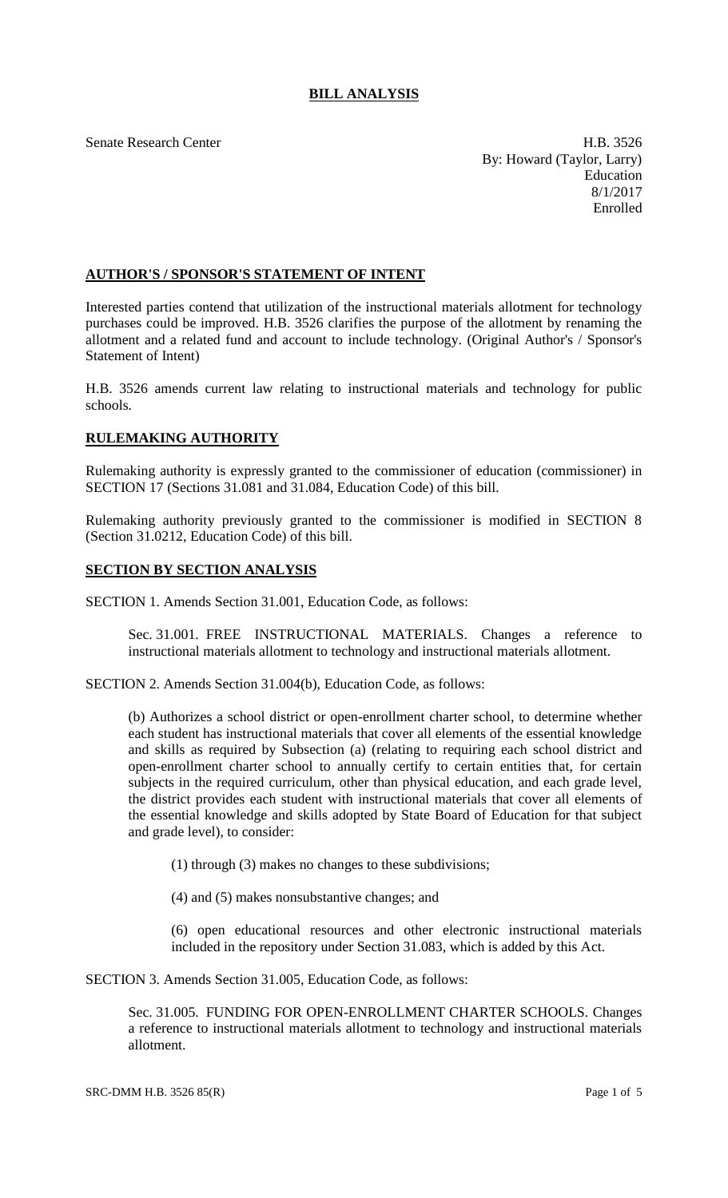# **BILL ANALYSIS**

Senate Research Center **H.B.** 3526 By: Howard (Taylor, Larry) Education 8/1/2017 Enrolled

## **AUTHOR'S / SPONSOR'S STATEMENT OF INTENT**

Interested parties contend that utilization of the instructional materials allotment for technology purchases could be improved. H.B. 3526 clarifies the purpose of the allotment by renaming the allotment and a related fund and account to include technology. (Original Author's / Sponsor's Statement of Intent)

H.B. 3526 amends current law relating to instructional materials and technology for public schools.

## **RULEMAKING AUTHORITY**

Rulemaking authority is expressly granted to the commissioner of education (commissioner) in SECTION 17 (Sections 31.081 and 31.084, Education Code) of this bill.

Rulemaking authority previously granted to the commissioner is modified in SECTION 8 (Section 31.0212, Education Code) of this bill.

#### **SECTION BY SECTION ANALYSIS**

SECTION 1. Amends Section 31.001, Education Code, as follows:

Sec. 31.001. FREE INSTRUCTIONAL MATERIALS. Changes a reference to instructional materials allotment to technology and instructional materials allotment.

SECTION 2. Amends Section 31.004(b), Education Code, as follows:

(b) Authorizes a school district or open-enrollment charter school, to determine whether each student has instructional materials that cover all elements of the essential knowledge and skills as required by Subsection (a) (relating to requiring each school district and open-enrollment charter school to annually certify to certain entities that, for certain subjects in the required curriculum, other than physical education, and each grade level, the district provides each student with instructional materials that cover all elements of the essential knowledge and skills adopted by State Board of Education for that subject and grade level), to consider:

(1) through (3) makes no changes to these subdivisions;

(4) and (5) makes nonsubstantive changes; and

(6) open educational resources and other electronic instructional materials included in the repository under Section 31.083, which is added by this Act.

SECTION 3. Amends Section 31.005, Education Code, as follows:

Sec. 31.005. FUNDING FOR OPEN-ENROLLMENT CHARTER SCHOOLS. Changes a reference to instructional materials allotment to technology and instructional materials allotment.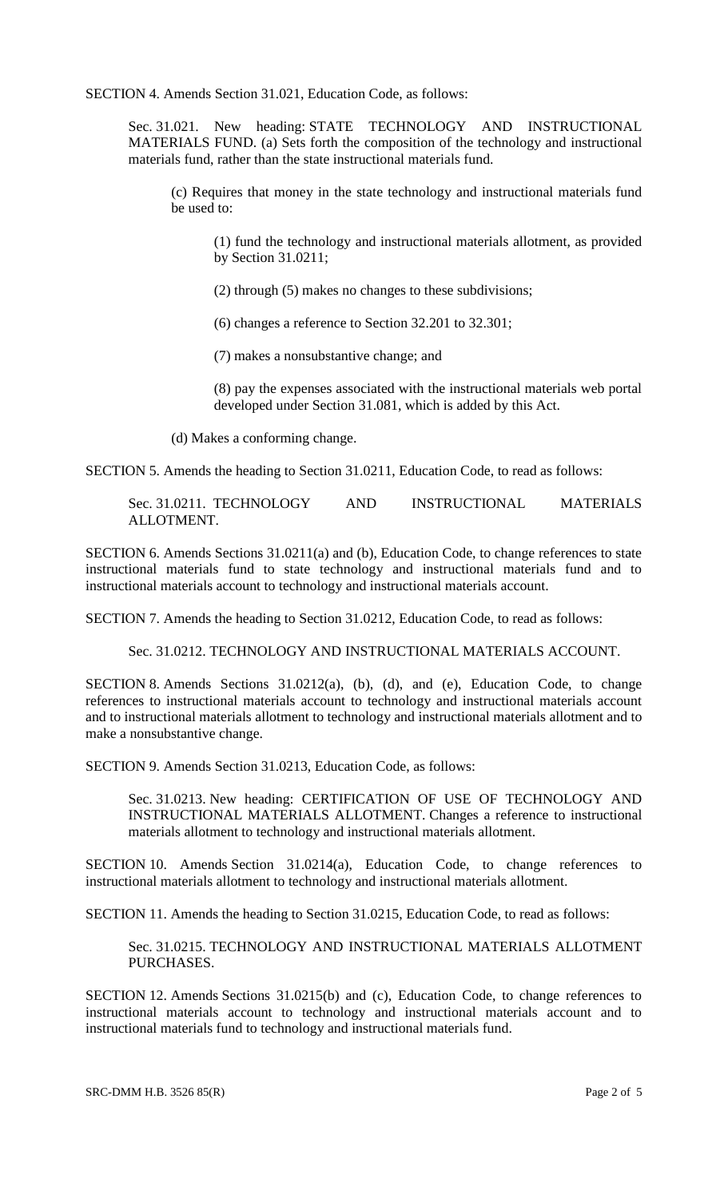SECTION 4. Amends Section 31.021, Education Code, as follows:

Sec. 31.021. New heading: STATE TECHNOLOGY AND INSTRUCTIONAL MATERIALS FUND. (a) Sets forth the composition of the technology and instructional materials fund, rather than the state instructional materials fund.

(c) Requires that money in the state technology and instructional materials fund be used to:

(1) fund the technology and instructional materials allotment, as provided by Section 31.0211;

(2) through (5) makes no changes to these subdivisions;

(6) changes a reference to Section 32.201 to 32.301;

(7) makes a nonsubstantive change; and

(8) pay the expenses associated with the instructional materials web portal developed under Section 31.081, which is added by this Act.

(d) Makes a conforming change.

SECTION 5. Amends the heading to Section 31.0211, Education Code, to read as follows:

Sec. 31.0211. TECHNOLOGY AND INSTRUCTIONAL MATERIALS ALLOTMENT.

SECTION 6. Amends Sections 31.0211(a) and (b), Education Code, to change references to state instructional materials fund to state technology and instructional materials fund and to instructional materials account to technology and instructional materials account.

SECTION 7. Amends the heading to Section 31.0212, Education Code, to read as follows:

Sec. 31.0212. TECHNOLOGY AND INSTRUCTIONAL MATERIALS ACCOUNT.

SECTION 8. Amends Sections 31.0212(a), (b), (d), and (e), Education Code, to change references to instructional materials account to technology and instructional materials account and to instructional materials allotment to technology and instructional materials allotment and to make a nonsubstantive change.

SECTION 9. Amends Section 31.0213, Education Code, as follows:

Sec. 31.0213. New heading: CERTIFICATION OF USE OF TECHNOLOGY AND INSTRUCTIONAL MATERIALS ALLOTMENT. Changes a reference to instructional materials allotment to technology and instructional materials allotment.

SECTION 10. Amends Section 31.0214(a), Education Code, to change references to instructional materials allotment to technology and instructional materials allotment.

SECTION 11. Amends the heading to Section 31.0215, Education Code, to read as follows:

Sec. 31.0215. TECHNOLOGY AND INSTRUCTIONAL MATERIALS ALLOTMENT PURCHASES.

SECTION 12. Amends Sections 31.0215(b) and (c), Education Code, to change references to instructional materials account to technology and instructional materials account and to instructional materials fund to technology and instructional materials fund.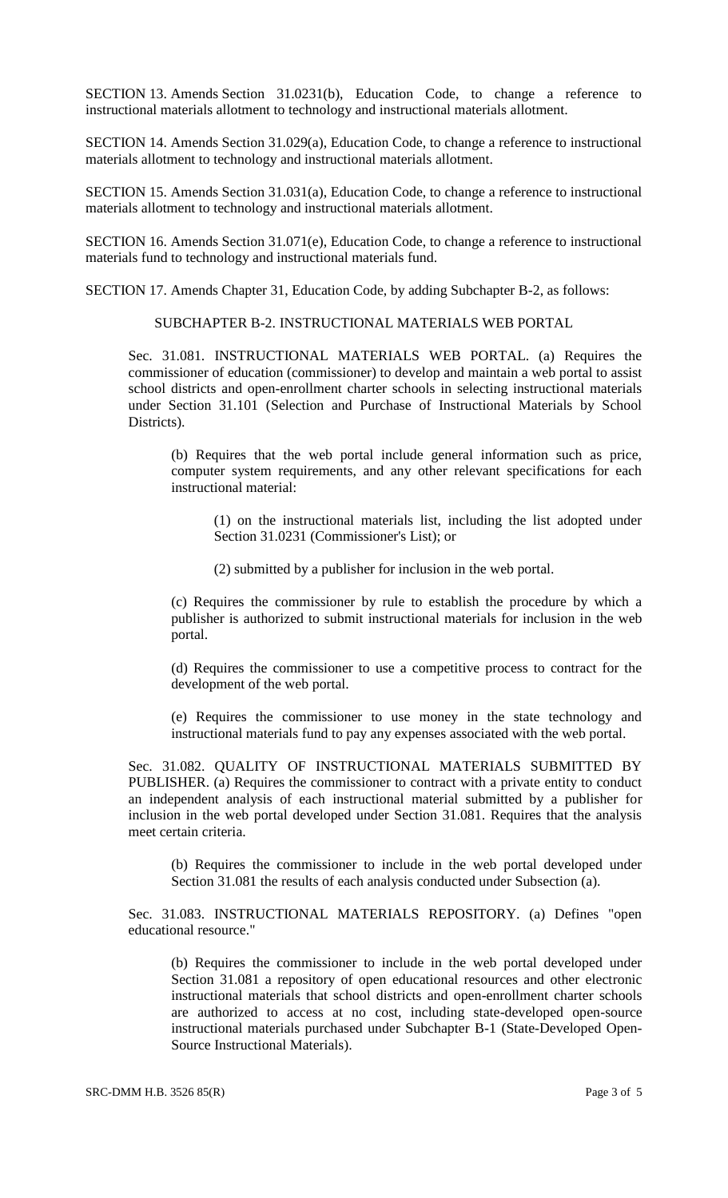SECTION 13. Amends Section 31.0231(b), Education Code, to change a reference to instructional materials allotment to technology and instructional materials allotment.

SECTION 14. Amends Section 31.029(a), Education Code, to change a reference to instructional materials allotment to technology and instructional materials allotment.

SECTION 15. Amends Section 31.031(a), Education Code, to change a reference to instructional materials allotment to technology and instructional materials allotment.

SECTION 16. Amends Section 31.071(e), Education Code, to change a reference to instructional materials fund to technology and instructional materials fund.

SECTION 17. Amends Chapter 31, Education Code, by adding Subchapter B-2, as follows:

SUBCHAPTER B-2. INSTRUCTIONAL MATERIALS WEB PORTAL

Sec. 31.081. INSTRUCTIONAL MATERIALS WEB PORTAL. (a) Requires the commissioner of education (commissioner) to develop and maintain a web portal to assist school districts and open-enrollment charter schools in selecting instructional materials under Section 31.101 (Selection and Purchase of Instructional Materials by School Districts).

(b) Requires that the web portal include general information such as price, computer system requirements, and any other relevant specifications for each instructional material:

(1) on the instructional materials list, including the list adopted under Section 31.0231 (Commissioner's List); or

(2) submitted by a publisher for inclusion in the web portal.

(c) Requires the commissioner by rule to establish the procedure by which a publisher is authorized to submit instructional materials for inclusion in the web portal.

(d) Requires the commissioner to use a competitive process to contract for the development of the web portal.

(e) Requires the commissioner to use money in the state technology and instructional materials fund to pay any expenses associated with the web portal.

Sec. 31.082. QUALITY OF INSTRUCTIONAL MATERIALS SUBMITTED BY PUBLISHER. (a) Requires the commissioner to contract with a private entity to conduct an independent analysis of each instructional material submitted by a publisher for inclusion in the web portal developed under Section 31.081. Requires that the analysis meet certain criteria.

(b) Requires the commissioner to include in the web portal developed under Section 31.081 the results of each analysis conducted under Subsection (a).

Sec. 31.083. INSTRUCTIONAL MATERIALS REPOSITORY. (a) Defines "open educational resource."

(b) Requires the commissioner to include in the web portal developed under Section 31.081 a repository of open educational resources and other electronic instructional materials that school districts and open-enrollment charter schools are authorized to access at no cost, including state-developed open-source instructional materials purchased under Subchapter B-1 (State-Developed Open-Source Instructional Materials).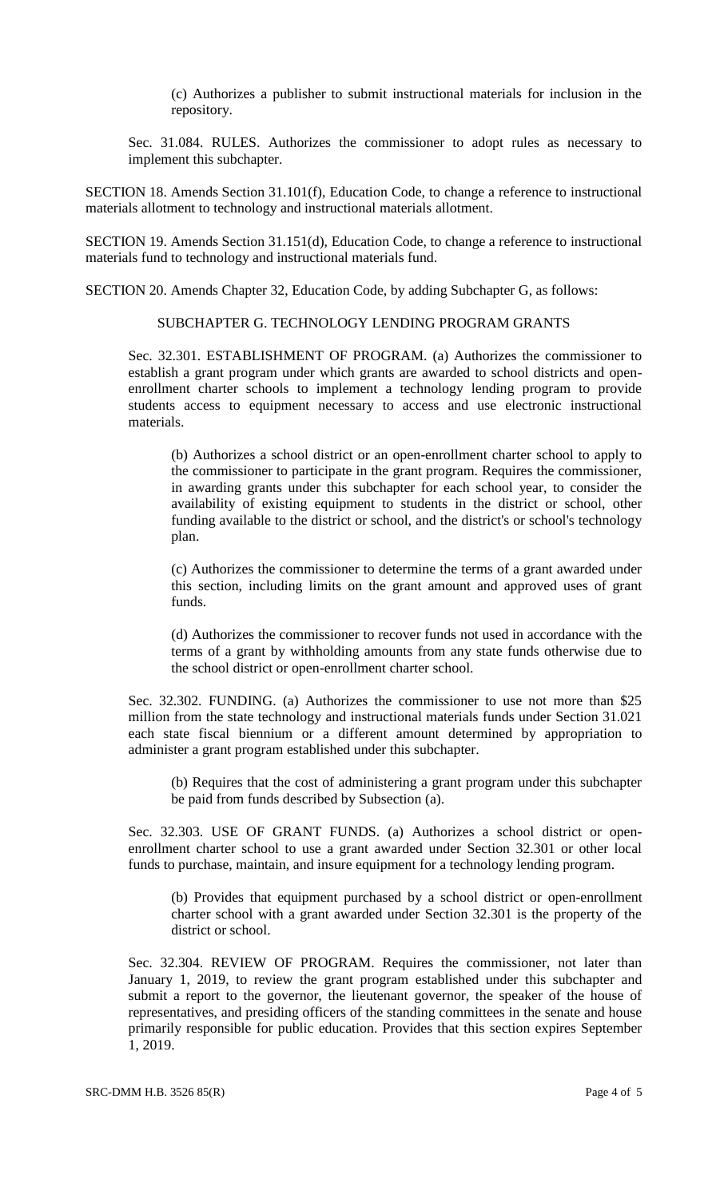(c) Authorizes a publisher to submit instructional materials for inclusion in the repository.

Sec. 31.084. RULES. Authorizes the commissioner to adopt rules as necessary to implement this subchapter.

SECTION 18. Amends Section 31.101(f), Education Code, to change a reference to instructional materials allotment to technology and instructional materials allotment.

SECTION 19. Amends Section 31.151(d), Education Code, to change a reference to instructional materials fund to technology and instructional materials fund.

SECTION 20. Amends Chapter 32, Education Code, by adding Subchapter G, as follows:

#### SUBCHAPTER G. TECHNOLOGY LENDING PROGRAM GRANTS

Sec. 32.301. ESTABLISHMENT OF PROGRAM. (a) Authorizes the commissioner to establish a grant program under which grants are awarded to school districts and openenrollment charter schools to implement a technology lending program to provide students access to equipment necessary to access and use electronic instructional materials.

(b) Authorizes a school district or an open-enrollment charter school to apply to the commissioner to participate in the grant program. Requires the commissioner, in awarding grants under this subchapter for each school year, to consider the availability of existing equipment to students in the district or school, other funding available to the district or school, and the district's or school's technology plan.

(c) Authorizes the commissioner to determine the terms of a grant awarded under this section, including limits on the grant amount and approved uses of grant funds.

(d) Authorizes the commissioner to recover funds not used in accordance with the terms of a grant by withholding amounts from any state funds otherwise due to the school district or open-enrollment charter school.

Sec. 32.302. FUNDING. (a) Authorizes the commissioner to use not more than \$25 million from the state technology and instructional materials funds under Section 31.021 each state fiscal biennium or a different amount determined by appropriation to administer a grant program established under this subchapter.

(b) Requires that the cost of administering a grant program under this subchapter be paid from funds described by Subsection (a).

Sec. 32.303. USE OF GRANT FUNDS. (a) Authorizes a school district or openenrollment charter school to use a grant awarded under Section 32.301 or other local funds to purchase, maintain, and insure equipment for a technology lending program.

(b) Provides that equipment purchased by a school district or open-enrollment charter school with a grant awarded under Section 32.301 is the property of the district or school.

Sec. 32.304. REVIEW OF PROGRAM. Requires the commissioner, not later than January 1, 2019, to review the grant program established under this subchapter and submit a report to the governor, the lieutenant governor, the speaker of the house of representatives, and presiding officers of the standing committees in the senate and house primarily responsible for public education. Provides that this section expires September 1, 2019.